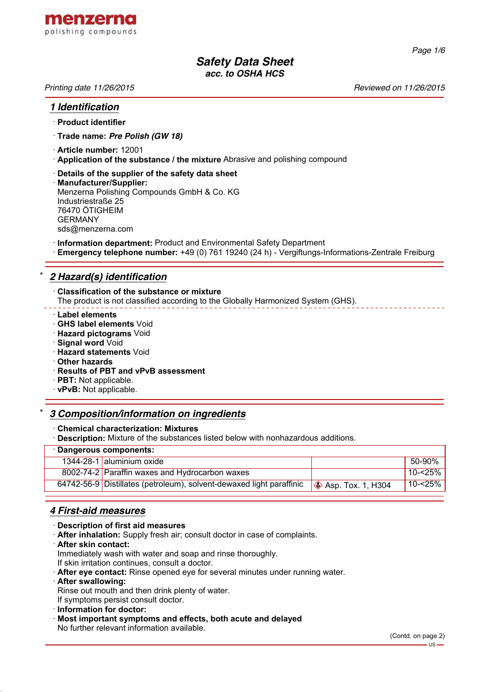

*Page 1/6*

# *Safety Data Sheet acc. to OSHA HCS*

*Printing date 11/26/2015 Reviewed on 11/26/2015*

#### *1 Identification*

#### · **Product identifier**

- · **Trade name:** *Pre Polish (GW 18)*
- · **Article number:** 12001
- · **Application of the substance / the mixture** Abrasive and polishing compound
- · **Details of the supplier of the safety data sheet**
- · **Manufacturer/Supplier:** Menzerna Polishing Compounds GmbH & Co. KG Industriestraße 25 76470 ÖTIGHEIM GERMANY sds@menzerna.com
- · **Information department:** Product and Environmental Safety Department
- · **Emergency telephone number:** +49 (0) 761 19240 (24 h) Vergiftungs-Informations-Zentrale Freiburg

# \* *2 Hazard(s) identification*

- · **Classification of the substance or mixture**
- The product is not classified according to the Globally Harmonized System (GHS).
- · **Label elements**
- · **GHS label elements** Void
- · **Hazard pictograms** Void
- · **Signal word** Void
- · **Hazard statements** Void
- · **Other hazards**
- · **Results of PBT and vPvB assessment**
- · **PBT:** Not applicable.
- · **vPvB:** Not applicable.

#### \* *3 Composition/information on ingredients*

#### · **Chemical characterization: Mixtures**

· **Description:** Mixture of the substances listed below with nonhazardous additions.

| · Dangerous components: |                                                                      |                             |            |  |  |
|-------------------------|----------------------------------------------------------------------|-----------------------------|------------|--|--|
|                         | 1344-28-1 aluminium oxide                                            |                             | 50-90%     |  |  |
|                         | 8002-74-2 Paraffin waxes and Hydrocarbon waxes                       |                             | $10 - 25%$ |  |  |
|                         | 64742-56-9 Distillates (petroleum), solvent-dewaxed light paraffinic | $\otimes$ Asp. Tox. 1, H304 | 10-<25%    |  |  |
|                         |                                                                      |                             |            |  |  |

# *4 First-aid measures*

- · **Description of first aid measures**
- · **After inhalation:** Supply fresh air; consult doctor in case of complaints.
- · **After skin contact:**

Immediately wash with water and soap and rinse thoroughly.

- If skin irritation continues, consult a doctor.
- · **After eye contact:** Rinse opened eye for several minutes under running water.
- · **After swallowing:**
- Rinse out mouth and then drink plenty of water.

If symptoms persist consult doctor.

- · **Information for doctor:**
- · **Most important symptoms and effects, both acute and delayed**

No further relevant information available.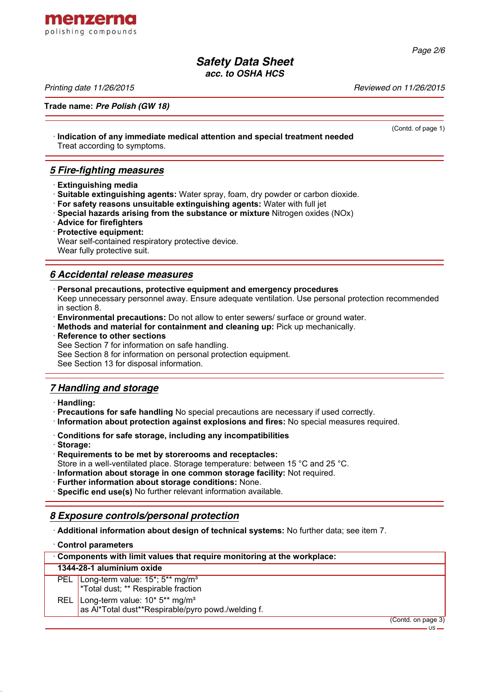

*acc. to OSHA HCS*

*Printing date 11/26/2015 Reviewed on 11/26/2015*

menzerna polishing compounds

**Trade name:** *Pre Polish (GW 18)*

· **Indication of any immediate medical attention and special treatment needed** Treat according to symptoms.

# *5 Fire-fighting measures*

- · **Extinguishing media**
- · **Suitable extinguishing agents:** Water spray, foam, dry powder or carbon dioxide.
- · **For safety reasons unsuitable extinguishing agents:** Water with full jet
- · **Special hazards arising from the substance or mixture** Nitrogen oxides (NOx)
- · **Advice for firefighters**
- · **Protective equipment:** Wear self-contained respiratory protective device.
- Wear fully protective suit.

# *6 Accidental release measures*

- · **Personal precautions, protective equipment and emergency procedures** Keep unnecessary personnel away. Ensure adequate ventilation. Use personal protection recommended in section 8.
- · **Environmental precautions:** Do not allow to enter sewers/ surface or ground water.
- · **Methods and material for containment and cleaning up:** Pick up mechanically.
- · **Reference to other sections**

See Section 7 for information on safe handling.

See Section 8 for information on personal protection equipment.

See Section 13 for disposal information.

# *7 Handling and storage*

- · **Handling:**
- · **Precautions for safe handling** No special precautions are necessary if used correctly.
- · **Information about protection against explosions and fires:** No special measures required.
- · **Conditions for safe storage, including any incompatibilities**
- · **Storage:**
- · **Requirements to be met by storerooms and receptacles:**
- Store in a well-ventilated place. Storage temperature: between 15 °C and 25 °C.
- · **Information about storage in one common storage facility:** Not required.
- · **Further information about storage conditions:** None.

· **Specific end use(s)** No further relevant information available.

# *8 Exposure controls/personal protection*

· **Additional information about design of technical systems:** No further data; see item 7.

· **Control parameters** · **Components with limit values that require monitoring at the workplace: 1344-28-1 aluminium oxide** PEL Long-term value: 15<sup>\*</sup>; 5<sup>\*\*</sup> mg/m<sup>3</sup> \*Total dust; \*\* Respirable fraction REL Long-term value: 10<sup>\*</sup> 5<sup>\*\*</sup> mg/m<sup>3</sup> as Al\*Total dust\*\*Respirable/pyro powd./welding f. (Contd. on page 3)

*Page 2/6*

(Contd. of page 1)

US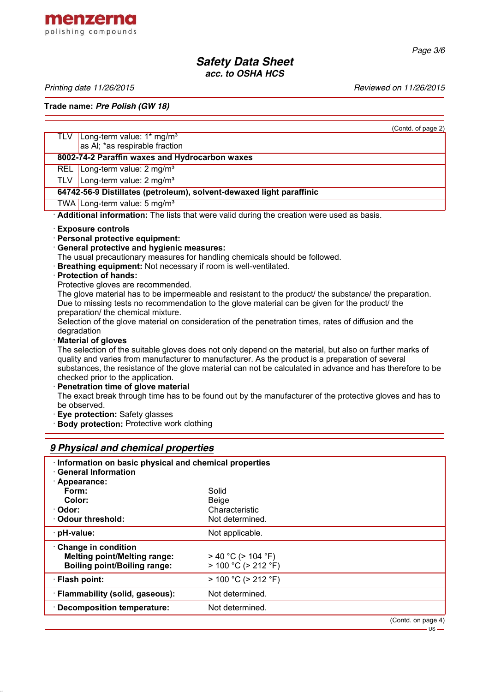

# *Safety Data Sheet acc. to OSHA HCS*

menzerna polishing compounds

Printing date 11/26/2015 **Printing date 11/26/2015** 

**Trade name:** *Pre Polish (GW 18)*

| Long-term value: 1* mg/m <sup>3</sup><br>TLV<br>as AI; *as respirable fraction<br>8002-74-2 Paraffin waxes and Hydrocarbon waxes<br>REL Long-term value: 2 mg/m <sup>3</sup><br>TLV   Long-term value: $2 \text{ mg/m}^3$<br>64742-56-9 Distillates (petroleum), solvent-dewaxed light paraffinic<br>TWA Long-term value: 5 mg/m <sup>3</sup><br>Additional information: The lists that were valid during the creation were used as basis. |  |  |  |
|--------------------------------------------------------------------------------------------------------------------------------------------------------------------------------------------------------------------------------------------------------------------------------------------------------------------------------------------------------------------------------------------------------------------------------------------|--|--|--|
|                                                                                                                                                                                                                                                                                                                                                                                                                                            |  |  |  |
|                                                                                                                                                                                                                                                                                                                                                                                                                                            |  |  |  |
|                                                                                                                                                                                                                                                                                                                                                                                                                                            |  |  |  |
|                                                                                                                                                                                                                                                                                                                                                                                                                                            |  |  |  |
|                                                                                                                                                                                                                                                                                                                                                                                                                                            |  |  |  |
|                                                                                                                                                                                                                                                                                                                                                                                                                                            |  |  |  |
|                                                                                                                                                                                                                                                                                                                                                                                                                                            |  |  |  |
|                                                                                                                                                                                                                                                                                                                                                                                                                                            |  |  |  |
| <b>Exposure controls</b>                                                                                                                                                                                                                                                                                                                                                                                                                   |  |  |  |
| · Personal protective equipment:                                                                                                                                                                                                                                                                                                                                                                                                           |  |  |  |
| · General protective and hygienic measures:                                                                                                                                                                                                                                                                                                                                                                                                |  |  |  |
| The usual precautionary measures for handling chemicals should be followed.                                                                                                                                                                                                                                                                                                                                                                |  |  |  |
| Breathing equipment: Not necessary if room is well-ventilated.                                                                                                                                                                                                                                                                                                                                                                             |  |  |  |
| · Protection of hands:                                                                                                                                                                                                                                                                                                                                                                                                                     |  |  |  |
| Protective gloves are recommended.                                                                                                                                                                                                                                                                                                                                                                                                         |  |  |  |
| The glove material has to be impermeable and resistant to the product/ the substance/ the preparation.                                                                                                                                                                                                                                                                                                                                     |  |  |  |
| Due to missing tests no recommendation to the glove material can be given for the product/ the                                                                                                                                                                                                                                                                                                                                             |  |  |  |
| preparation/ the chemical mixture.                                                                                                                                                                                                                                                                                                                                                                                                         |  |  |  |
| Selection of the glove material on consideration of the penetration times, rates of diffusion and the                                                                                                                                                                                                                                                                                                                                      |  |  |  |
| degradation                                                                                                                                                                                                                                                                                                                                                                                                                                |  |  |  |
| <b>Material of gloves</b>                                                                                                                                                                                                                                                                                                                                                                                                                  |  |  |  |
| The selection of the suitable gloves does not only depend on the material, but also on further marks of                                                                                                                                                                                                                                                                                                                                    |  |  |  |
| quality and varies from manufacturer to manufacturer. As the product is a preparation of several                                                                                                                                                                                                                                                                                                                                           |  |  |  |
| substances, the resistance of the glove material can not be calculated in advance and has therefore to be                                                                                                                                                                                                                                                                                                                                  |  |  |  |
| checked prior to the application.                                                                                                                                                                                                                                                                                                                                                                                                          |  |  |  |
| · Penetration time of glove material<br>The exact break through time has to be found out by the manufacturer of the protective gloves and has to                                                                                                                                                                                                                                                                                           |  |  |  |
| be observed.                                                                                                                                                                                                                                                                                                                                                                                                                               |  |  |  |
| · Eye protection: Safety glasses                                                                                                                                                                                                                                                                                                                                                                                                           |  |  |  |
| Body protection: Protective work clothing                                                                                                                                                                                                                                                                                                                                                                                                  |  |  |  |

# *9 Physical and chemical properties*

| Information on basic physical and chemical properties<br><b>General Information</b>               |                                                      |                    |  |  |
|---------------------------------------------------------------------------------------------------|------------------------------------------------------|--------------------|--|--|
| · Appearance:                                                                                     |                                                      |                    |  |  |
| Form:                                                                                             | Solid                                                |                    |  |  |
| Color:                                                                                            | <b>Beige</b>                                         |                    |  |  |
| · Odor:                                                                                           | Characteristic                                       |                    |  |  |
| ⋅ Odour threshold:                                                                                | Not determined.                                      |                    |  |  |
| · pH-value:                                                                                       | Not applicable.                                      |                    |  |  |
| Change in condition<br><b>Melting point/Melting range:</b><br><b>Boiling point/Boiling range:</b> | $>$ 40 °C ( $>$ 104 °F)<br>$> 100 °C$ ( $> 212 °F$ ) |                    |  |  |
| · Flash point:                                                                                    | $> 100 °C$ ( $> 212 °F$ )                            |                    |  |  |
| · Flammability (solid, gaseous):                                                                  | Not determined.                                      |                    |  |  |
| · Decomposition temperature:                                                                      | Not determined.                                      |                    |  |  |
|                                                                                                   |                                                      | (Contd. on page 4) |  |  |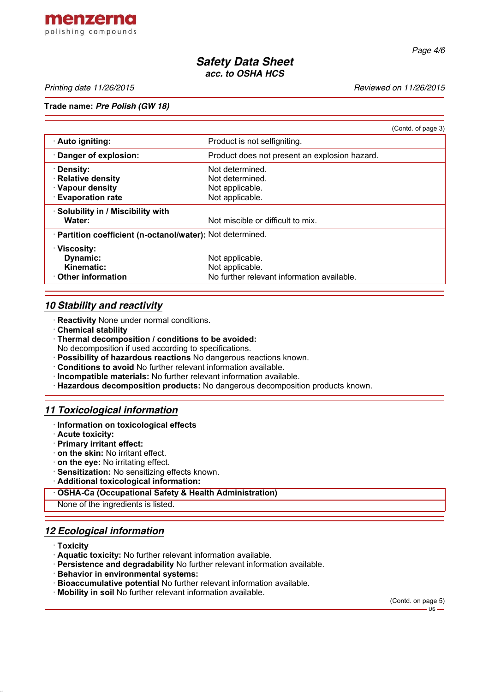

*Page 4/6*

# *Safety Data Sheet acc. to OSHA HCS*

*Printing date 11/26/2015 Reviewed on 11/26/2015*

#### **Trade name:** *Pre Polish (GW 18)*

|                                                            |                                               | (Contd. of page 3) |  |  |
|------------------------------------------------------------|-----------------------------------------------|--------------------|--|--|
| · Auto igniting:                                           | Product is not selfigniting.                  |                    |  |  |
| · Danger of explosion:                                     | Product does not present an explosion hazard. |                    |  |  |
| · Density:                                                 | Not determined.                               |                    |  |  |
| · Relative density                                         | Not determined.                               |                    |  |  |
| · Vapour density                                           | Not applicable.                               |                    |  |  |
| <b>Evaporation rate</b>                                    | Not applicable.                               |                    |  |  |
| · Solubility in / Miscibility with                         |                                               |                    |  |  |
| Water:                                                     | Not miscible or difficult to mix.             |                    |  |  |
| · Partition coefficient (n-octanol/water): Not determined. |                                               |                    |  |  |
| $\cdot$ Viscosity:                                         |                                               |                    |  |  |
| <b>Dynamic:</b>                                            | Not applicable.                               |                    |  |  |
| Kinematic:                                                 | Not applicable.                               |                    |  |  |
| Other information                                          | No further relevant information available.    |                    |  |  |

## *10 Stability and reactivity*

- · **Reactivity** None under normal conditions.
- · **Chemical stability**
- · **Thermal decomposition / conditions to be avoided:**
- No decomposition if used according to specifications.
- · **Possibility of hazardous reactions** No dangerous reactions known.
- · **Conditions to avoid** No further relevant information available.
- · **Incompatible materials:** No further relevant information available.
- · **Hazardous decomposition products:** No dangerous decomposition products known.

## *11 Toxicological information*

- · **Information on toxicological effects**
- · **Acute toxicity:**
- · **Primary irritant effect:**
- · **on the skin:** No irritant effect.
- · **on the eye:** No irritating effect.
- · **Sensitization:** No sensitizing effects known.
- · **Additional toxicological information:**

#### · **OSHA-Ca (Occupational Safety & Health Administration)**

None of the ingredients is listed.

# *12 Ecological information*

- · **Toxicity**
- · **Aquatic toxicity:** No further relevant information available.
- · **Persistence and degradability** No further relevant information available.
- · **Behavior in environmental systems:**
- · **Bioaccumulative potential** No further relevant information available.
- · **Mobility in soil** No further relevant information available.

(Contd. on page 5)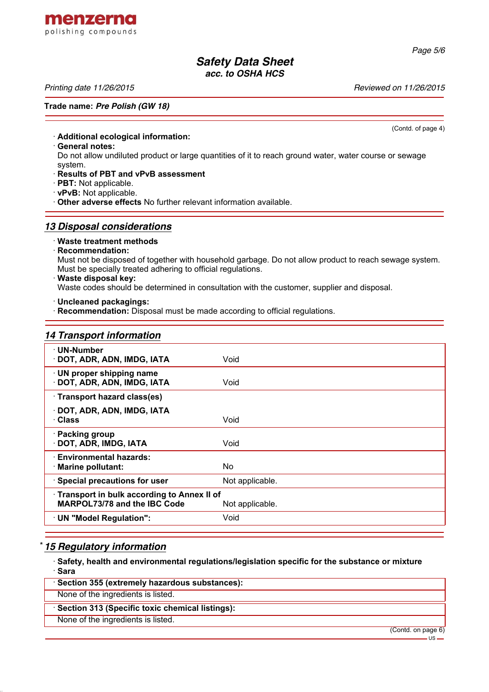# *Safety Data Sheet*

*acc. to OSHA HCS*

*Printing date 11/26/2015 Reviewed on 11/26/2015*

menzerna polishing compounds

#### **Trade name:** *Pre Polish (GW 18)*

· **Additional ecological information:**

· **General notes:**

Do not allow undiluted product or large quantities of it to reach ground water, water course or sewage system.

· **Results of PBT and vPvB assessment**

- · **PBT:** Not applicable.
- · **vPvB:** Not applicable.
- · **Other adverse effects** No further relevant information available.

#### *13 Disposal considerations*

#### · **Waste treatment methods**

## · **Recommendation:**

Must not be disposed of together with household garbage. Do not allow product to reach sewage system. Must be specially treated adhering to official regulations.

· **Waste disposal key:**

Waste codes should be determined in consultation with the customer, supplier and disposal.

· **Uncleaned packagings:**

· **Recommendation:** Disposal must be made according to official regulations.

#### *14 Transport information*

| · UN-Number<br>· DOT, ADR, ADN, IMDG, IATA               | Void            |  |
|----------------------------------------------------------|-----------------|--|
| · UN proper shipping name<br>· DOT, ADR, ADN, IMDG, IATA | Void            |  |
| · Transport hazard class(es)                             |                 |  |
| · DOT, ADR, ADN, IMDG, IATA                              |                 |  |
| · Class                                                  | Void            |  |
| · Packing group                                          |                 |  |
| · DOT, ADR, IMDG, IATA                                   | Void            |  |
| · Environmental hazards:                                 |                 |  |
| · Marine pollutant:                                      | No.             |  |
| · Special precautions for user                           | Not applicable. |  |
| Transport in bulk according to Annex II of               |                 |  |
| MARPOL73/78 and the IBC Code                             | Not applicable. |  |
| · UN "Model Regulation":                                 | Void            |  |

# \* *15 Regulatory information*

· **Safety, health and environmental regulations/legislation specific for the substance or mixture** · **Sara**

- · **Section 355 (extremely hazardous substances):**
- None of the ingredients is listed.

### · **Section 313 (Specific toxic chemical listings):**

None of the ingredients is listed.

(Contd. of page 4)